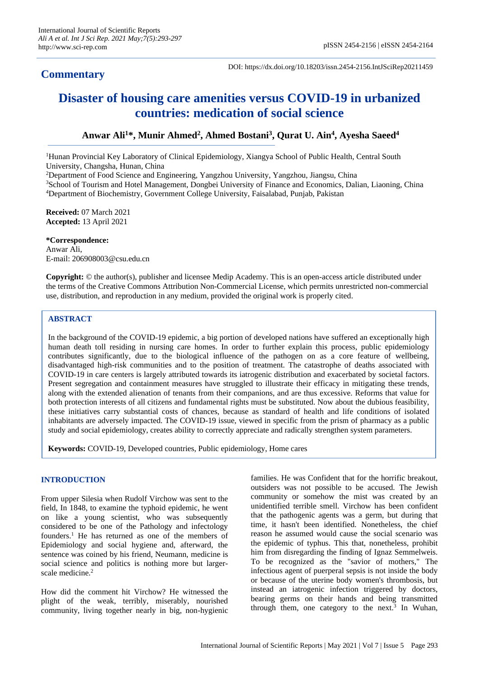## **Commentary**

DOI: https://dx.doi.org/10.18203/issn.2454-2156.IntJSciRep20211459

# **Disaster of housing care amenities versus COVID-19 in urbanized countries: medication of social science**

### **Anwar Ali<sup>1</sup>\*, Munir Ahmed<sup>2</sup> , Ahmed Bostani<sup>3</sup> , Qurat U. Ain<sup>4</sup> , Ayesha Saeed<sup>4</sup>**

<sup>1</sup>Hunan Provincial Key Laboratory of Clinical Epidemiology, Xiangya School of Public Health, Central South University, Changsha, Hunan, China

<sup>2</sup>Department of Food Science and Engineering, Yangzhou University, Yangzhou, Jiangsu, China

<sup>3</sup>School of Tourism and Hotel Management, Dongbei University of Finance and Economics, Dalian, Liaoning, China <sup>4</sup>Department of Biochemistry, Government College University, Faisalabad, Punjab, Pakistan

**Received:** 07 March 2021 **Accepted:** 13 April 2021

**\*Correspondence:** Anwar Ali, E-mail: 206908003@csu.edu.cn

**Copyright:** © the author(s), publisher and licensee Medip Academy. This is an open-access article distributed under the terms of the Creative Commons Attribution Non-Commercial License, which permits unrestricted non-commercial use, distribution, and reproduction in any medium, provided the original work is properly cited.

#### **ABSTRACT**

In the background of the COVID-19 epidemic, a big portion of developed nations have suffered an exceptionally high human death toll residing in nursing care homes. In order to further explain this process, public epidemiology contributes significantly, due to the biological influence of the pathogen on as a core feature of wellbeing, disadvantaged high-risk communities and to the position of treatment. The catastrophe of deaths associated with COVID-19 in care centers is largely attributed towards its iatrogenic distribution and exacerbated by societal factors. Present segregation and containment measures have struggled to illustrate their efficacy in mitigating these trends, along with the extended alienation of tenants from their companions, and are thus excessive. Reforms that value for both protection interests of all citizens and fundamental rights must be substituted. Now about the dubious feasibility, these initiatives carry substantial costs of chances, because as standard of health and life conditions of isolated inhabitants are adversely impacted. The COVID-19 issue, viewed in specific from the prism of pharmacy as a public study and social epidemiology, creates ability to correctly appreciate and radically strengthen system parameters.

**Keywords:** COVID-19, Developed countries, Public epidemiology, Home cares

#### **INTRODUCTION**

From upper Silesia when Rudolf Virchow was sent to the field, In 1848, to examine the typhoid epidemic, he went on like a young scientist, who was subsequently considered to be one of the Pathology and infectology founders. <sup>1</sup> He has returned as one of the members of Epidemiology and social hygiene and, afterward, the sentence was coined by his friend, Neumann, medicine is social science and politics is nothing more but largerscale medicine.<sup>2</sup>

How did the comment hit Virchow? He witnessed the plight of the weak, terribly, miserably, nourished community, living together nearly in big, non-hygienic families. He was Confident that for the horrific breakout, outsiders was not possible to be accused. The Jewish community or somehow the mist was created by an unidentified terrible smell. Virchow has been confident that the pathogenic agents was a germ, but during that time, it hasn't been identified. Nonetheless, the chief reason he assumed would cause the social scenario was the epidemic of typhus. This that, nonetheless, prohibit him from disregarding the finding of Ignaz Semmelweis. To be recognized as the "savior of mothers," The infectious agent of puerperal sepsis is not inside the body or because of the uterine body women's thrombosis, but instead an iatrogenic infection triggered by doctors, bearing germs on their hands and being transmitted through them, one category to the next.<sup>3</sup> In Wuhan,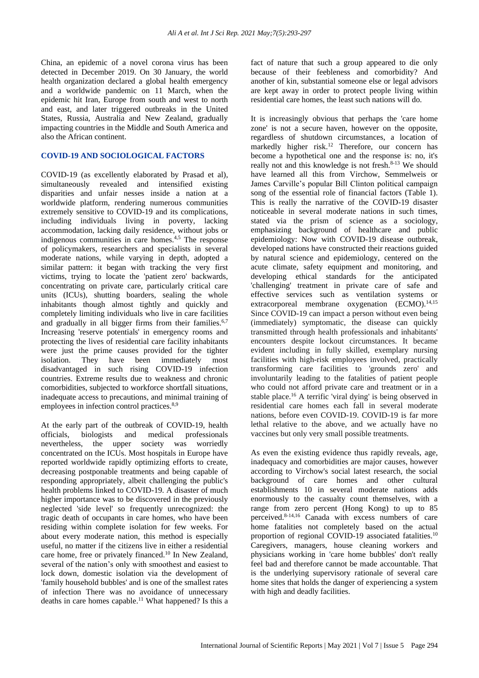China, an epidemic of a novel corona virus has been detected in December 2019. On 30 January, the world health organization declared a global health emergency and a worldwide pandemic on 11 March, when the epidemic hit Iran, Europe from south and west to north and east, and later triggered outbreaks in the United States, Russia, Australia and New Zealand, gradually impacting countries in the Middle and South America and also the African continent.

#### **COVID-19 AND SOCIOLOGICAL FACTORS**

COVID-19 (as excellently elaborated by Prasad et al), simultaneously revealed and intensified existing disparities and unfair nesses inside a nation at a worldwide platform, rendering numerous communities extremely sensitive to COVID-19 and its complications, including individuals living in poverty, lacking accommodation, lacking daily residence, without jobs or indigenous communities in care homes.<sup>4,5</sup> The response of policymakers, researchers and specialists in several moderate nations, while varying in depth, adopted a similar pattern: it began with tracking the very first victims, trying to locate the 'patient zero' backwards, concentrating on private care, particularly critical care units (ICUs), shutting boarders, sealing the whole inhabitants though almost tightly and quickly and completely limiting individuals who live in care facilities and gradually in all bigger firms from their families.<sup> $6,7$ </sup> Increasing 'reserve potentials' in emergency rooms and protecting the lives of residential care facility inhabitants were just the prime causes provided for the tighter isolation. They have been immediately most disadvantaged in such rising COVID-19 infection countries. Extreme results due to weakness and chronic comorbidities, subjected to workforce shortfall situations, inadequate access to precautions, and minimal training of employees in infection control practices.<sup>8,9</sup>

At the early part of the outbreak of COVID-19, health officials, biologists and medical professionals nevertheless, the upper society was worriedly concentrated on the ICUs. Most hospitals in Europe have reported worldwide rapidly optimizing efforts to create, decreasing postponable treatments and being capable of responding appropriately, albeit challenging the public's health problems linked to COVID-19. A disaster of much higher importance was to be discovered in the previously neglected 'side level' so frequently unrecognized: the tragic death of occupants in care homes, who have been residing within complete isolation for few weeks. For about every moderate nation, this method is especially useful, no matter if the citizens live in either a residential care home, free or privately financed.<sup>10</sup> In New Zealand, several of the nation's only with smoothest and easiest to lock down, domestic isolation via the development of 'family household bubbles' and is one of the smallest rates of infection There was no avoidance of unnecessary deaths in care homes capable.<sup>11</sup> What happened? Is this a fact of nature that such a group appeared to die only because of their feebleness and comorbidity? And another of kin, substantial someone else or legal advisors are kept away in order to protect people living within residential care homes, the least such nations will do.

It is increasingly obvious that perhaps the 'care home zone' is not a secure haven, however on the opposite, regardless of shutdown circumstances, a location of markedly higher risk.<sup>12</sup> Therefore, our concern has become a hypothetical one and the response is: no, it's really not and this knowledge is not fresh. $8-13$  We should have learned all this from Virchow, Semmelweis or James Carville's popular Bill Clinton political campaign song of the essential role of financial factors (Table 1). This is really the narrative of the COVID-19 disaster noticeable in several moderate nations in such times, stated via the prism of science as a sociology, emphasizing background of healthcare and public epidemiology: Now with COVID-19 disease outbreak, developed nations have constructed their reactions guided by natural science and epidemiology, centered on the acute climate, safety equipment and monitoring, and developing ethical standards for the anticipated 'challenging' treatment in private care of safe and effective services such as ventilation systems or extracorporeal membrane oxygenation (ECMO).<sup>14,15</sup> Since COVID-19 can impact a person without even being (immediately) symptomatic, the disease can quickly transmitted through health professionals and inhabitants' encounters despite lockout circumstances. It became evident including in fully skilled, exemplary nursing facilities with high-risk employees involved, practically transforming care facilities to 'grounds zero' and involuntarily leading to the fatalities of patient people who could not afford private care and treatment or in a stable place.<sup>16</sup> A terrific 'viral dying' is being observed in residential care homes each fall in several moderate nations, before even COVID-19. COVID-19 is far more lethal relative to the above, and we actually have no vaccines but only very small possible treatments.

As even the existing evidence thus rapidly reveals, age, inadequacy and comorbidities are major causes, however according to Virchow's social latest research, the social background of care homes and other cultural establishments 10 in several moderate nations adds enormously to the casualty count themselves, with a range from zero percent (Hong Kong) to up to 85 perceived.8-14,16 Canada with excess numbers of care home fatalities not completely based on the actual proportion of regional COVID-19 associated fatalities.<sup>10</sup> Caregivers, managers, house cleaning workers and physicians working in 'care home bubbles' don't really feel bad and therefore cannot be made accountable. That is the underlying supervisory rationale of several care home sites that holds the danger of experiencing a system with high and deadly facilities.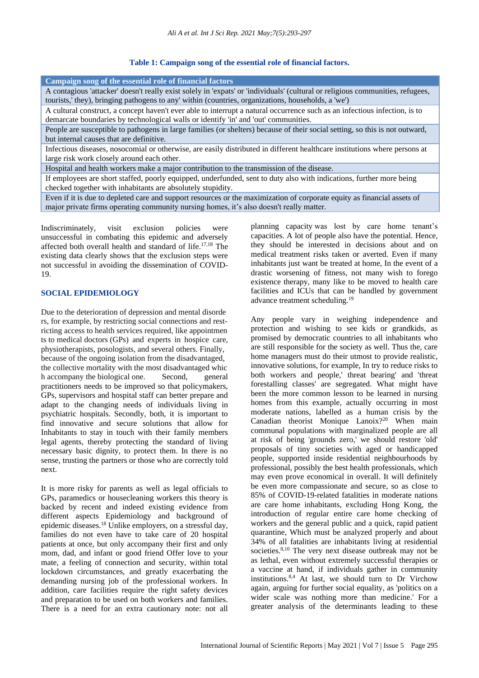#### **Table 1: Campaign song of the essential role of financial factors.**

| Campaign song of the essential role of financial factors                                                                       |
|--------------------------------------------------------------------------------------------------------------------------------|
| A contagious 'attacker' doesn't really exist solely in 'expats' or 'individuals' (cultural or religious communities, refugees, |
| tourists, they), bringing pathogens to any within (countries, organizations, households, a 'we')                               |
| A cultural construct, a concept haven't ever able to interrupt a natural occurrence such as an infectious infection, is to     |
| demarcate boundaries by technological walls or identify 'in' and 'out' communities.                                            |
| People are susceptible to pathogens in large families (or shelters) because of their social setting, so this is not outward,   |
| but internal causes that are definitive.                                                                                       |
| Infectious diseases, nosocomial or otherwise, are easily distributed in different healthcare institutions where persons at     |
| large risk work closely around each other.                                                                                     |
|                                                                                                                                |

Hospital and health workers make a major contribution to the transmission of the disease.

If employees are short staffed, poorly equipped, underfunded, sent to duty also with indications, further more being checked together with inhabitants are absolutely stupidity.

Even if it is due to depleted care and support resources or the maximization of corporate equity as financial assets of major private firms operating community nursing homes, it's also doesn't really matter.

Indiscriminately, visit exclusion policies were unsuccessful in combating this epidemic and adversely affected both overall health and standard of life.17,18 The existing data clearly shows that the exclusion steps were not successful in avoiding the dissemination of COVID-19.

#### **SOCIAL EPIDEMIOLOGY**

Due to the deterioration of depression and mental disorde rs, for example, by restricting social connections and restricting access to health services required, like appointmen ts to medical doctors (GPs) and experts in hospice care, physiotherapists, posologists, and several others. Finally, because of the ongoing isolation from the disadvantaged, the collective mortality with the most disadvantaged whic h accompany the biological one. Second, general practitioners needs to be improved so that policymakers, GPs, supervisors and hospital staff can better prepare and adapt to the changing needs of individuals living in psychiatric hospitals. Secondly, both, it is important to find innovative and secure solutions that allow for Inhabitants to stay in touch with their family members legal agents, thereby protecting the standard of living necessary basic dignity, to protect them. In there is no sense, trusting the partners or those who are correctly told next.

It is more risky for parents as well as legal officials to GPs, paramedics or housecleaning workers this theory is backed by recent and indeed existing evidence from different aspects Epidemiology and background of epidemic diseases.<sup>18</sup> Unlike employers, on a stressful day, families do not even have to take care of 20 hospital patients at once, but only accompany their first and only mom, dad, and infant or good friend Offer love to your mate, a feeling of connection and security, within total lockdown circumstances, and greatly exacerbating the demanding nursing job of the professional workers. In addition, care facilities require the right safety devices and preparation to be used on both workers and families. There is a need for an extra cautionary note: not all planning capacity was lost by care home tenant's capacities. A lot of people also have the potential. Hence, they should be interested in decisions about and on medical treatment risks taken or averted. Even if many inhabitants just want be treated at home, In the event of a drastic worsening of fitness, not many wish to forego existence therapy, many like to be moved to health care facilities and ICUs that can be handled by government advance treatment scheduling.<sup>19</sup>

Any people vary in weighing independence and protection and wishing to see kids or grandkids, as promised by democratic countries to all inhabitants who are still responsible for the society as well. Thus the, care home managers must do their utmost to provide realistic, innovative solutions, for example, In try to reduce risks to both workers and people,' threat bearing' and 'threat forestalling classes' are segregated. What might have been the more common lesson to be learned in nursing homes from this example, actually occurring in most moderate nations, labelled as a human crisis by the Canadian theorist Monique Lanoix?<sup>20</sup> When main communal populations with marginalized people are all at risk of being 'grounds zero,' we should restore 'old' proposals of tiny societies with aged or handicapped people, supported inside residential neighbourhoods by professional, possibly the best health professionals, which may even prove economical in overall. It will definitely be even more compassionate and secure, so as close to 85% of COVID-19-related fatalities in moderate nations are care home inhabitants, excluding Hong Kong, the introduction of regular entire care home checking of workers and the general public and a quick, rapid patient quarantine, Which must be analyzed properly and about 34% of all fatalities are inhabitants living at residential societies.<sup>8,10</sup> The very next disease outbreak may not be as lethal, even without extremely successful therapies or a vaccine at hand, if individuals gather in community institutions. $8,4$  At last, we should turn to Dr Virchow again, arguing for further social equality, as 'politics on a wider scale was nothing more than medicine.' For a greater analysis of the determinants leading to these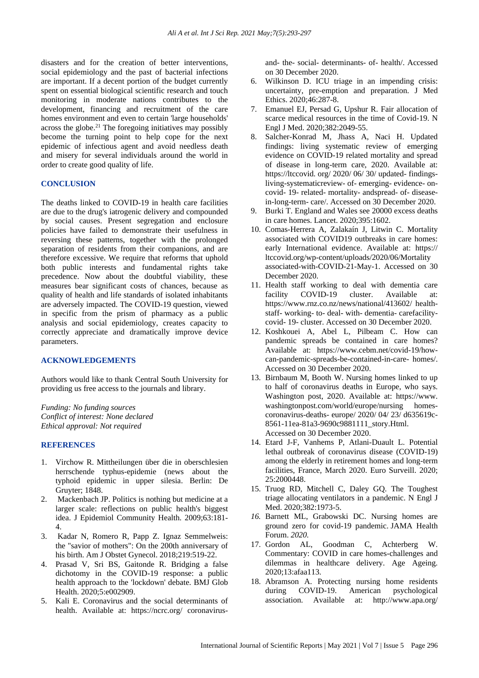disasters and for the creation of better interventions, social epidemiology and the past of bacterial infections are important. If a decent portion of the budget currently spent on essential biological scientific research and touch monitoring in moderate nations contributes to the development, financing and recruitment of the care homes environment and even to certain 'large households' across the globe. $21$  The foregoing initiatives may possibly become the turning point to help cope for the next epidemic of infectious agent and avoid needless death and misery for several individuals around the world in order to create good quality of life.

#### **CONCLUSION**

The deaths linked to COVID-19 in health care facilities are due to the drug's iatrogenic delivery and compounded by social causes. Present segregation and enclosure policies have failed to demonstrate their usefulness in reversing these patterns, together with the prolonged separation of residents from their companions, and are therefore excessive. We require that reforms that uphold both public interests and fundamental rights take precedence. Now about the doubtful viability, these measures bear significant costs of chances, because as quality of health and life standards of isolated inhabitants are adversely impacted. The COVID-19 question, viewed in specific from the prism of pharmacy as a public analysis and social epidemiology, creates capacity to correctly appreciate and dramatically improve device parameters.

#### **ACKNOWLEDGEMENTS**

Authors would like to thank Central South University for providing us free access to the journals and library.

*Funding: No funding sources Conflict of interest: None declared Ethical approval: Not required*

#### **REFERENCES**

- 1. Virchow R. Mittheilungen über die in oberschlesien herrschende typhus-epidemie (news about the typhoid epidemic in upper silesia. Berlin: De Gruyter; 1848.
- 2. Mackenbach JP. Politics is nothing but medicine at a larger scale: reflections on public health's biggest idea. J Epidemiol Community Health. 2009;63:181- 4.
- 3. Kadar N, Romero R, Papp Z. Ignaz Semmelweis: the "savior of mothers": On the 200th anniversary of his birth. Am J Obstet Gynecol. 2018;219:519-22.
- 4. Prasad V, Sri BS, Gaitonde R. Bridging a false dichotomy in the COVID-19 response: a public health approach to the 'lockdown' debate. BMJ Glob Health. 2020;5:e002909.
- 5. Kali E. Coronavirus and the social determinants of health. Available at: https://ncrc.org/ coronavirus-

and- the- social- determinants- of- health/. Accessed on 30 December 2020.

- 6. Wilkinson D. ICU triage in an impending crisis: uncertainty, pre-emption and preparation. J Med Ethics. 2020;46:287-8.
- 7. Emanuel EJ, Persad G, Upshur R. Fair allocation of scarce medical resources in the time of Covid-19. N Engl J Med. 2020;382:2049-55.
- 8. Salcher-Konrad M, Jhass A, Naci H. Updated findings: living systematic review of emerging evidence on COVID-19 related mortality and spread of disease in long-term care, 2020. Available at: https://ltccovid. org/ 2020/ 06/ 30/ updated- findingsliving-systematicreview- of- emerging- evidence- oncovid- 19- related- mortality- andspread- of- diseasein-long-term- care/. Accessed on 30 December 2020.
- 9. Burki T. England and Wales see 20000 excess deaths in care homes. Lancet. 2020;395:1602.
- 10. Comas-Herrera A, Zalakaín J, Litwin C. Mortality associated with COVID19 outbreaks in care homes: early International evidence. Available at: https:// ltccovid.org/wp-content/uploads/2020/06/Mortality associated-with-COVID-21-May-1. Accessed on 30 December 2020.
- 11. Health staff working to deal with dementia care facility COVID-19 cluster. Available at: https://www.rnz.co.nz/news/national/413602/ healthstaff- working- to- deal- with- dementia- carefacilitycovid- 19- cluster. Accessed on 30 December 2020.
- 12. Koshkouei A, Abel L, Pilbeam C. How can pandemic spreads be contained in care homes? Available at: https://www.cebm.net/covid-19/howcan-pandemic-spreads-be-contained-in-care- homes/. Accessed on 30 December 2020.
- 13. Birnbaum M, Booth W. Nursing homes linked to up to half of coronavirus deaths in Europe, who says. Washington post, 2020. Available at: https://www. washingtonpost.com/world/europe/nursing homescoronavirus-deaths- europe/ 2020/ 04/ 23/ d635619c-8561-11ea-81a3-9690c9881111\_story.Html. Accessed on 30 December 2020.
- 14. Etard J-F, Vanhems P, Atlani-Duault L. Potential lethal outbreak of coronavirus disease (COVID-19) among the elderly in retirement homes and long-term facilities, France, March 2020. Euro Surveill. 2020; 25:2000448.
- 15. Truog RD, Mitchell C, Daley GQ. The Toughest triage allocating ventilators in a pandemic. N Engl J Med. 2020;382:1973-5.
- *16.* Barnett ML, Grabowski DC. Nursing homes are ground zero for covid-19 pandemic. JAMA Health Forum. *2020.*
- 17. Gordon AL, Goodman C, Achterberg W. Commentary: COVID in care homes-challenges and dilemmas in healthcare delivery. Age Ageing. 2020;13:afaa113.
- 18. Abramson A. Protecting nursing home residents during COVID-19. American psychological association. Available at: <http://www.apa.org/>